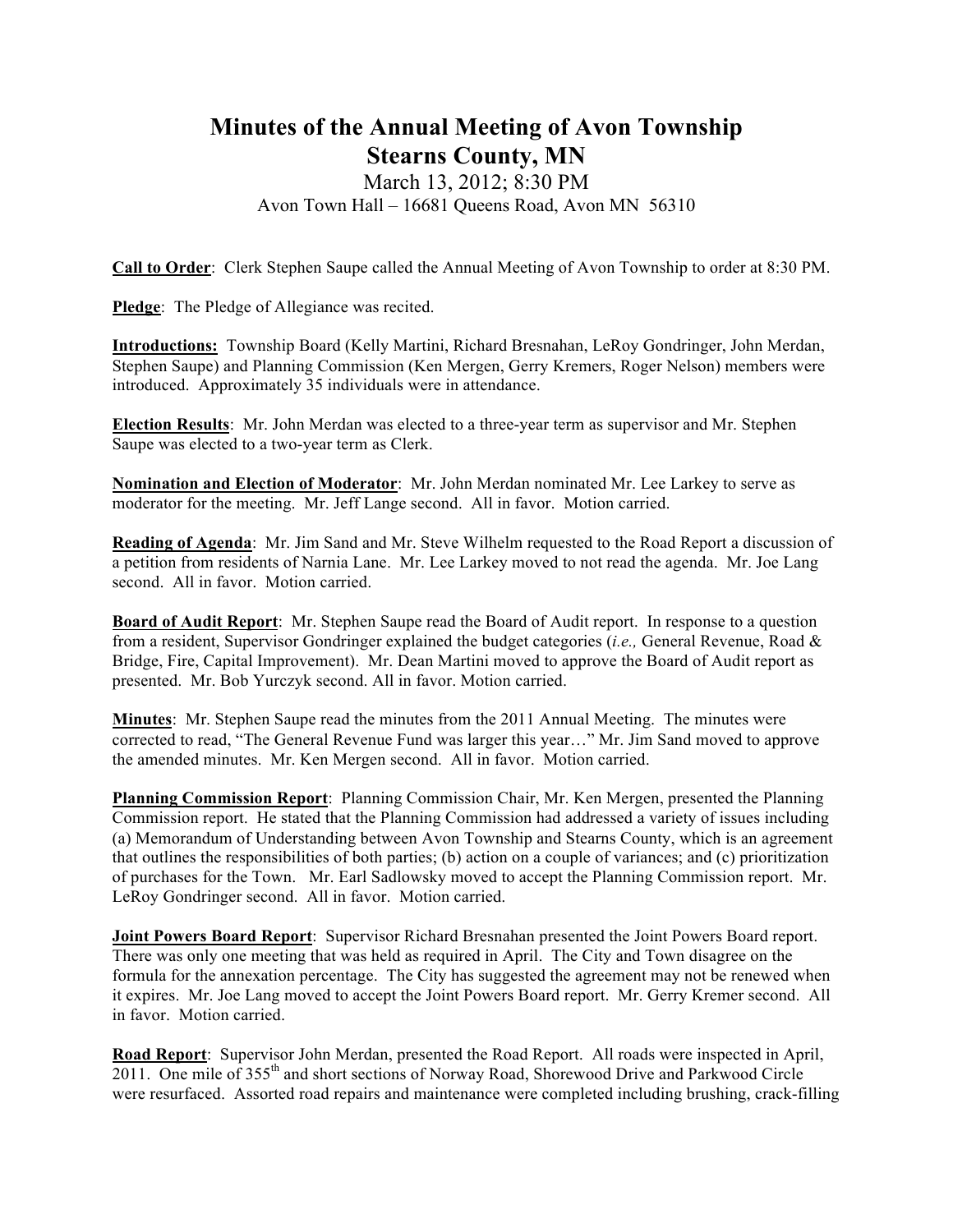## **Minutes of the Annual Meeting of Avon Township Stearns County, MN**

## March 13, 2012; 8:30 PM Avon Town Hall – 16681 Queens Road, Avon MN 56310

**Call to Order**: Clerk Stephen Saupe called the Annual Meeting of Avon Township to order at 8:30 PM.

**Pledge**: The Pledge of Allegiance was recited.

**Introductions:** Township Board (Kelly Martini, Richard Bresnahan, LeRoy Gondringer, John Merdan, Stephen Saupe) and Planning Commission (Ken Mergen, Gerry Kremers, Roger Nelson) members were introduced. Approximately 35 individuals were in attendance.

**Election Results**: Mr. John Merdan was elected to a three-year term as supervisor and Mr. Stephen Saupe was elected to a two-year term as Clerk.

**Nomination and Election of Moderator**: Mr. John Merdan nominated Mr. Lee Larkey to serve as moderator for the meeting. Mr. Jeff Lange second. All in favor. Motion carried.

**Reading of Agenda**: Mr. Jim Sand and Mr. Steve Wilhelm requested to the Road Report a discussion of a petition from residents of Narnia Lane. Mr. Lee Larkey moved to not read the agenda. Mr. Joe Lang second. All in favor. Motion carried.

**Board of Audit Report**: Mr. Stephen Saupe read the Board of Audit report. In response to a question from a resident, Supervisor Gondringer explained the budget categories (*i.e.,* General Revenue, Road & Bridge, Fire, Capital Improvement). Mr. Dean Martini moved to approve the Board of Audit report as presented. Mr. Bob Yurczyk second. All in favor. Motion carried.

**Minutes**: Mr. Stephen Saupe read the minutes from the 2011 Annual Meeting. The minutes were corrected to read, "The General Revenue Fund was larger this year…" Mr. Jim Sand moved to approve the amended minutes. Mr. Ken Mergen second. All in favor. Motion carried.

**Planning Commission Report**: Planning Commission Chair, Mr. Ken Mergen, presented the Planning Commission report. He stated that the Planning Commission had addressed a variety of issues including (a) Memorandum of Understanding between Avon Township and Stearns County, which is an agreement that outlines the responsibilities of both parties; (b) action on a couple of variances; and (c) prioritization of purchases for the Town. Mr. Earl Sadlowsky moved to accept the Planning Commission report. Mr. LeRoy Gondringer second. All in favor. Motion carried.

**Joint Powers Board Report**: Supervisor Richard Bresnahan presented the Joint Powers Board report. There was only one meeting that was held as required in April. The City and Town disagree on the formula for the annexation percentage. The City has suggested the agreement may not be renewed when it expires. Mr. Joe Lang moved to accept the Joint Powers Board report. Mr. Gerry Kremer second. All in favor. Motion carried.

**Road Report**: Supervisor John Merdan, presented the Road Report. All roads were inspected in April, 2011. One mile of 355<sup>th</sup> and short sections of Norway Road, Shorewood Drive and Parkwood Circle were resurfaced. Assorted road repairs and maintenance were completed including brushing, crack-filling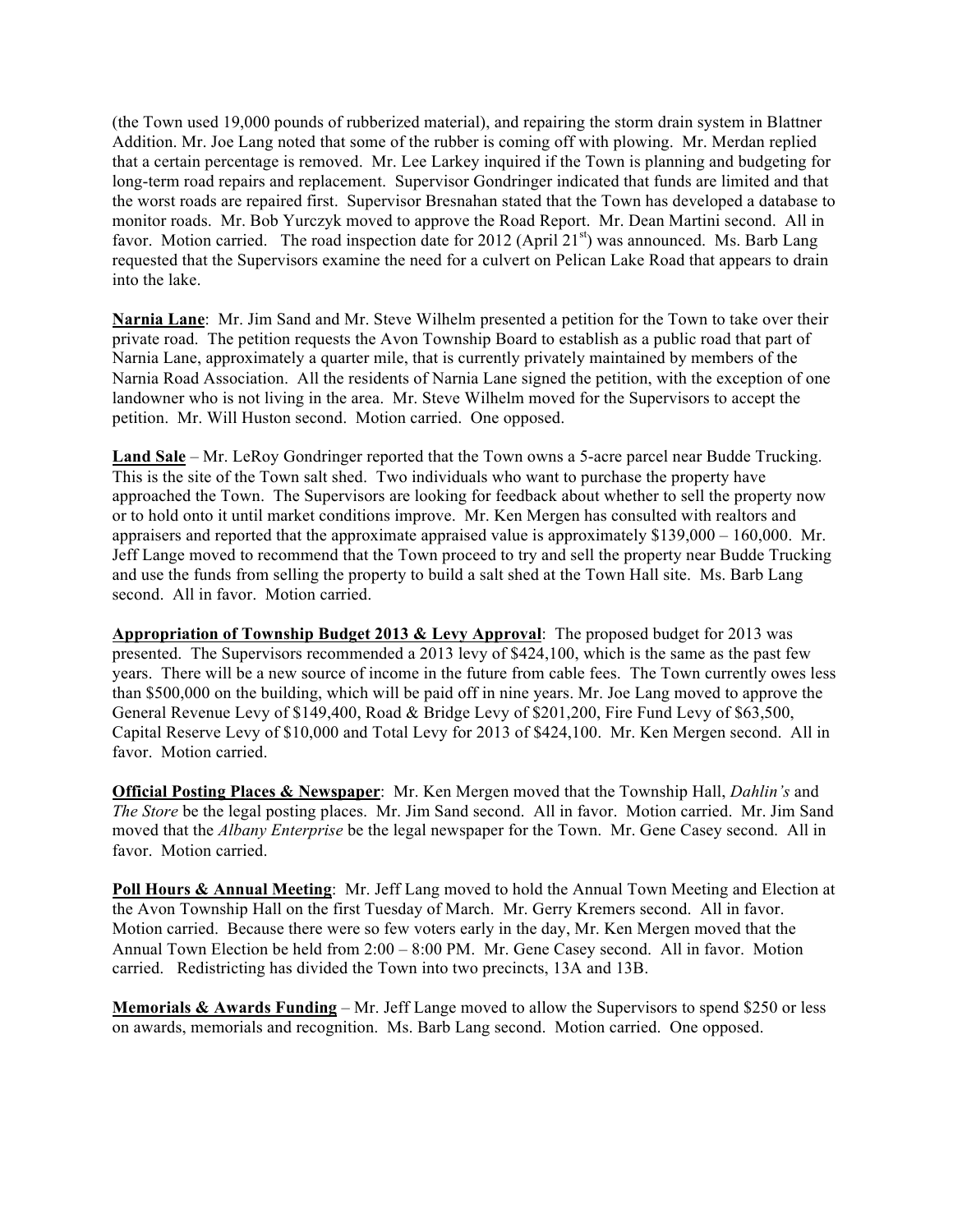(the Town used 19,000 pounds of rubberized material), and repairing the storm drain system in Blattner Addition. Mr. Joe Lang noted that some of the rubber is coming off with plowing. Mr. Merdan replied that a certain percentage is removed. Mr. Lee Larkey inquired if the Town is planning and budgeting for long-term road repairs and replacement. Supervisor Gondringer indicated that funds are limited and that the worst roads are repaired first. Supervisor Bresnahan stated that the Town has developed a database to monitor roads. Mr. Bob Yurczyk moved to approve the Road Report. Mr. Dean Martini second. All in favor. Motion carried. The road inspection date for 2012 (April  $21<sup>st</sup>$ ) was announced. Ms. Barb Lang requested that the Supervisors examine the need for a culvert on Pelican Lake Road that appears to drain into the lake.

**Narnia Lane**: Mr. Jim Sand and Mr. Steve Wilhelm presented a petition for the Town to take over their private road. The petition requests the Avon Township Board to establish as a public road that part of Narnia Lane, approximately a quarter mile, that is currently privately maintained by members of the Narnia Road Association. All the residents of Narnia Lane signed the petition, with the exception of one landowner who is not living in the area. Mr. Steve Wilhelm moved for the Supervisors to accept the petition. Mr. Will Huston second. Motion carried. One opposed.

**Land Sale** – Mr. LeRoy Gondringer reported that the Town owns a 5-acre parcel near Budde Trucking. This is the site of the Town salt shed. Two individuals who want to purchase the property have approached the Town. The Supervisors are looking for feedback about whether to sell the property now or to hold onto it until market conditions improve. Mr. Ken Mergen has consulted with realtors and appraisers and reported that the approximate appraised value is approximately \$139,000 – 160,000. Mr. Jeff Lange moved to recommend that the Town proceed to try and sell the property near Budde Trucking and use the funds from selling the property to build a salt shed at the Town Hall site. Ms. Barb Lang second. All in favor. Motion carried.

**Appropriation of Township Budget 2013 & Levy Approval**: The proposed budget for 2013 was presented. The Supervisors recommended a 2013 levy of \$424,100, which is the same as the past few years. There will be a new source of income in the future from cable fees. The Town currently owes less than \$500,000 on the building, which will be paid off in nine years. Mr. Joe Lang moved to approve the General Revenue Levy of \$149,400, Road & Bridge Levy of \$201,200, Fire Fund Levy of \$63,500, Capital Reserve Levy of \$10,000 and Total Levy for 2013 of \$424,100. Mr. Ken Mergen second. All in favor. Motion carried.

**Official Posting Places & Newspaper**: Mr. Ken Mergen moved that the Township Hall, *Dahlin's* and *The Store* be the legal posting places. Mr. Jim Sand second. All in favor. Motion carried. Mr. Jim Sand moved that the *Albany Enterprise* be the legal newspaper for the Town. Mr. Gene Casey second. All in favor. Motion carried.

**Poll Hours & Annual Meeting**: Mr. Jeff Lang moved to hold the Annual Town Meeting and Election at the Avon Township Hall on the first Tuesday of March. Mr. Gerry Kremers second. All in favor. Motion carried. Because there were so few voters early in the day, Mr. Ken Mergen moved that the Annual Town Election be held from 2:00 – 8:00 PM. Mr. Gene Casey second. All in favor. Motion carried. Redistricting has divided the Town into two precincts, 13A and 13B.

**Memorials & Awards Funding** – Mr. Jeff Lange moved to allow the Supervisors to spend \$250 or less on awards, memorials and recognition. Ms. Barb Lang second. Motion carried. One opposed.